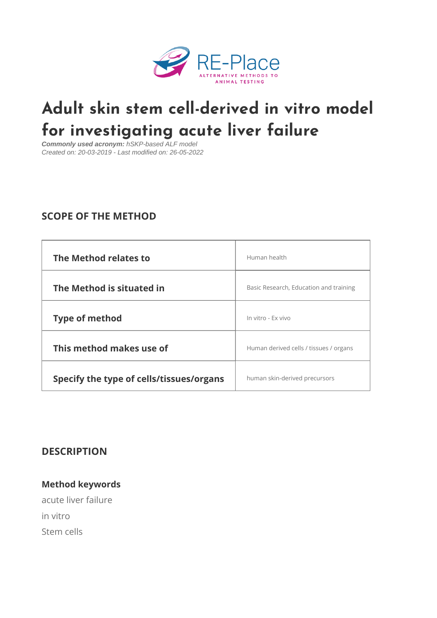# [Adult skin stem cell-derived](https://re-place.be/method/adult-skin-stem-cell-derived-vitro-model-investigating-acute-liver-failure) in vi for investigating acute liver failu

Commonly used acronym: hSKP-based ALF model Created on: 20-03-2019 - Last modified on: 26-05-2022

# SCOPE OF THE METHOD

| The Method relates to                                         | Human health                           |  |
|---------------------------------------------------------------|----------------------------------------|--|
| The Method is situated in                                     | Basic Research, Education and training |  |
| Type of method                                                | In vitro - Ex vivo                     |  |
| This method makes use of                                      | Human derived cells / tissues / organs |  |
| Specify the type of cells/tissues for gain-serived precursors |                                        |  |

# DESCRIPTION

Method keywords acute liver failure in vitro Stem cells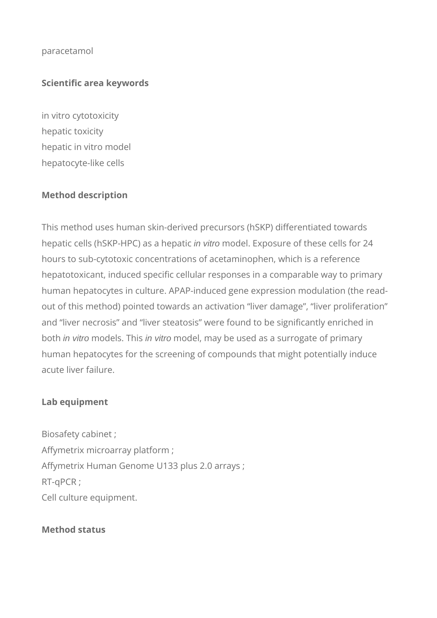#### paracetamol

# **Scientific area keywords**

in vitro cytotoxicity hepatic toxicity hepatic in vitro model hepatocyte-like cells

#### **Method description**

This method uses human skin-derived precursors (hSKP) differentiated towards hepatic cells (hSKP-HPC) as a hepatic in vitro model. Exposure of these cells for 24 hours to sub-cytotoxic concentrations of acetaminophen, which is a reference hepatotoxicant, induced specific cellular responses in a comparable way to primary human hepatocytes in culture. APAP-induced gene expression modulation (the readout of this method) pointed towards an activation "liver damage", "liver proliferation" and "liver necrosis" and "liver steatosis" were found to be significantly enriched in both *in vitro* models. This *in vitro* model, may be used as a surrogate of primary human hepatocytes for the screening of compounds that might potentially induce acute liver failure.

#### **Lab equipment**

Biosafety cabinet ; Affymetrix microarray platform ; Affymetrix Human Genome U133 plus 2.0 arrays ; RT-qPCR ; Cell culture equipment.

#### **Method status**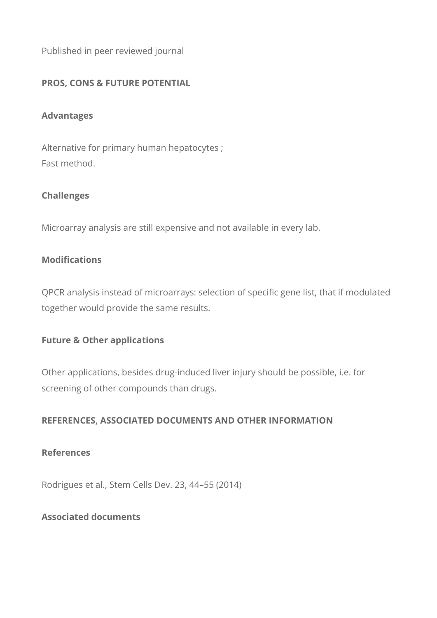Published in peer reviewed journal

# **PROS, CONS & FUTURE POTENTIAL**

#### **Advantages**

Alternative for primary human hepatocytes ; Fast method.

# **Challenges**

Microarray analysis are still expensive and not available in every lab.

# **Modifications**

QPCR analysis instead of microarrays: selection of specific gene list, that if modulated together would provide the same results.

#### **Future & Other applications**

Other applications, besides drug-induced liver injury should be possible, i.e. for screening of other compounds than drugs.

# **REFERENCES, ASSOCIATED DOCUMENTS AND OTHER INFORMATION**

#### **References**

Rodrigues et al., Stem Cells Dev. 23, 44–55 (2014)

# **Associated documents**